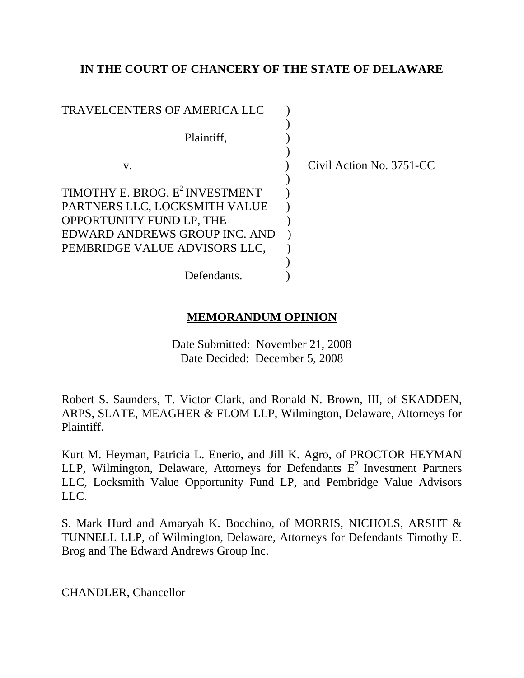# **IN THE COURT OF CHANCERY OF THE STATE OF DELAWARE**

| <b>TRAVELCENTERS OF AMERICA LLC</b>        |                          |
|--------------------------------------------|--------------------------|
|                                            |                          |
| Plaintiff,                                 |                          |
|                                            |                          |
| V.                                         | Civil Action No. 3751-CC |
|                                            |                          |
| TIMOTHY E. BROG, E <sup>2</sup> INVESTMENT |                          |
| PARTNERS LLC, LOCKSMITH VALUE              |                          |
| OPPORTUNITY FUND LP, THE                   |                          |
| EDWARD ANDREWS GROUP INC. AND              |                          |
| PEMBRIDGE VALUE ADVISORS LLC,              |                          |
|                                            |                          |
| Defendants.                                |                          |

# **MEMORANDUM OPINION**

Date Submitted: November 21, 2008 Date Decided: December 5, 2008

Robert S. Saunders, T. Victor Clark, and Ronald N. Brown, III, of SKADDEN, ARPS, SLATE, MEAGHER & FLOM LLP, Wilmington, Delaware, Attorneys for Plaintiff.

Kurt M. Heyman, Patricia L. Enerio, and Jill K. Agro, of PROCTOR HEYMAN LLP, Wilmington, Delaware, Attorneys for Defendants  $E^2$  Investment Partners LLC, Locksmith Value Opportunity Fund LP, and Pembridge Value Advisors LLC.

S. Mark Hurd and Amaryah K. Bocchino, of MORRIS, NICHOLS, ARSHT & TUNNELL LLP, of Wilmington, Delaware, Attorneys for Defendants Timothy E. Brog and The Edward Andrews Group Inc.

CHANDLER, Chancellor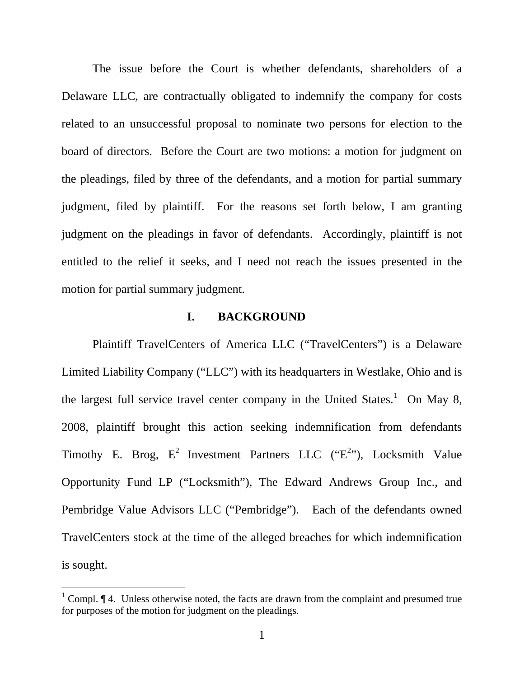The issue before the Court is whether defendants, shareholders of a Delaware LLC, are contractually obligated to indemnify the company for costs related to an unsuccessful proposal to nominate two persons for election to the board of directors. Before the Court are two motions: a motion for judgment on the pleadings, filed by three of the defendants, and a motion for partial summary judgment, filed by plaintiff. For the reasons set forth below, I am granting judgment on the pleadings in favor of defendants. Accordingly, plaintiff is not entitled to the relief it seeks, and I need not reach the issues presented in the motion for partial summary judgment.

### **I. BACKGROUND**

Plaintiff TravelCenters of America LLC ("TravelCenters") is a Delaware Limited Liability Company ("LLC") with its headquarters in Westlake, Ohio and is the largest full service travel center company in the United States.<sup>[1](#page-1-0)</sup> On May 8, 2008, plaintiff brought this action seeking indemnification from defendants Timothy E. Brog,  $E^2$  Investment Partners LLC (" $E^{2}$ "), Locksmith Value Opportunity Fund LP ("Locksmith"), The Edward Andrews Group Inc., and Pembridge Value Advisors LLC ("Pembridge"). Each of the defendants owned TravelCenters stock at the time of the alleged breaches for which indemnification is sought.

<span id="page-1-0"></span><sup>&</sup>lt;sup>1</sup> Compl.  $\P$  4. Unless otherwise noted, the facts are drawn from the complaint and presumed true for purposes of the motion for judgment on the pleadings.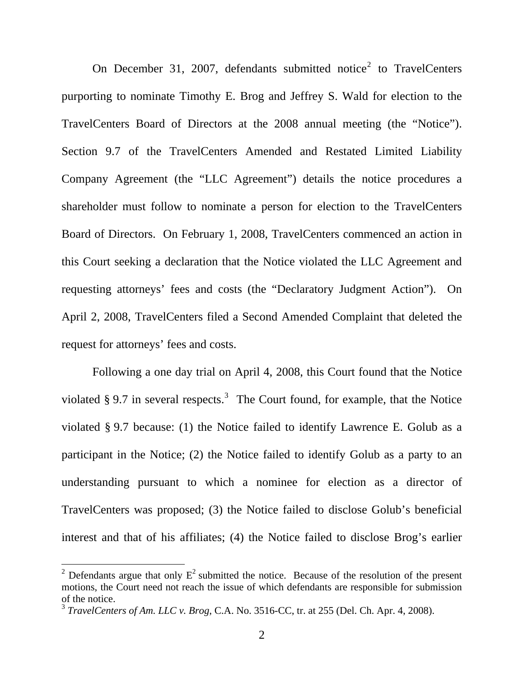On December 31, [2](#page-2-0)007, defendants submitted notice<sup>2</sup> to TravelCenters purporting to nominate Timothy E. Brog and Jeffrey S. Wald for election to the TravelCenters Board of Directors at the 2008 annual meeting (the "Notice"). Section 9.7 of the TravelCenters Amended and Restated Limited Liability Company Agreement (the "LLC Agreement") details the notice procedures a shareholder must follow to nominate a person for election to the TravelCenters Board of Directors. On February 1, 2008, TravelCenters commenced an action in this Court seeking a declaration that the Notice violated the LLC Agreement and requesting attorneys' fees and costs (the "Declaratory Judgment Action"). On April 2, 2008, TravelCenters filed a Second Amended Complaint that deleted the request for attorneys' fees and costs.

Following a one day trial on April 4, 2008, this Court found that the Notice violated § 9.7 in several respects.<sup>[3](#page-2-1)</sup> The Court found, for example, that the Notice violated § 9.7 because: (1) the Notice failed to identify Lawrence E. Golub as a participant in the Notice; (2) the Notice failed to identify Golub as a party to an understanding pursuant to which a nominee for election as a director of TravelCenters was proposed; (3) the Notice failed to disclose Golub's beneficial interest and that of his affiliates; (4) the Notice failed to disclose Brog's earlier

<span id="page-2-0"></span><sup>&</sup>lt;sup>2</sup> Defendants argue that only  $E^2$  submitted the notice. Because of the resolution of the present motions, the Court need not reach the issue of which defendants are responsible for submission of the notice.

<span id="page-2-1"></span><sup>3</sup> *TravelCenters of Am. LLC v. Brog*, C.A. No. 3516-CC, tr. at 255 (Del. Ch. Apr. 4, 2008).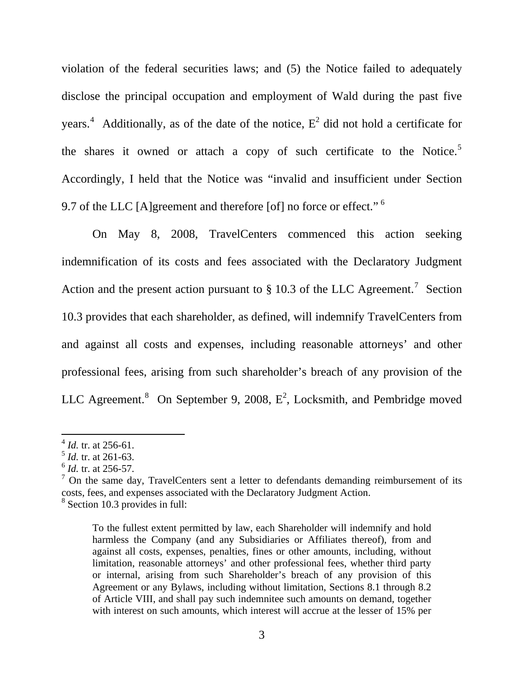violation of the federal securities laws; and (5) the Notice failed to adequately disclose the principal occupation and employment of Wald during the past five years.<sup>[4](#page-3-0)</sup> Additionally, as of the date of the notice,  $E^2$  did not hold a certificate for the shares it owned or attach a copy of such certificate to the Notice.<sup>[5](#page-3-1)</sup> Accordingly, I held that the Notice was "invalid and insufficient under Section 9.7 of the LLC [A]greement and therefore [of] no force or effect."<sup>[6](#page-3-2)</sup>

On May 8, 2008, TravelCenters commenced this action seeking indemnification of its costs and fees associated with the Declaratory Judgment Action and the present action pursuant to  $\S 10.3$  of the LLC Agreement.<sup>[7](#page-3-3)</sup> Section 10.3 provides that each shareholder, as defined, will indemnify TravelCenters from and against all costs and expenses, including reasonable attorneys' and other professional fees, arising from such shareholder's breach of any provision of the LLC Agreement.<sup>[8](#page-3-4)</sup> On September 9, 2008,  $E^2$ , Locksmith, and Pembridge moved

<sup>4</sup> *Id.* tr. at 256-61.

<span id="page-3-1"></span><span id="page-3-0"></span><sup>5</sup> *Id.* tr. at 261-63.

<span id="page-3-2"></span><sup>6</sup> *Id.* tr. at 256-57.

<span id="page-3-4"></span><span id="page-3-3"></span> $<sup>7</sup>$  On the same day, TravelCenters sent a letter to defendants demanding reimbursement of its</sup> costs, fees, and expenses associated with the Declaratory Judgment Action. 8 Section 10.3 provides in full:

To the fullest extent permitted by law, each Shareholder will indemnify and hold harmless the Company (and any Subsidiaries or Affiliates thereof), from and against all costs, expenses, penalties, fines or other amounts, including, without limitation, reasonable attorneys' and other professional fees, whether third party or internal, arising from such Shareholder's breach of any provision of this Agreement or any Bylaws, including without limitation, Sections 8.1 through 8.2 of Article VIII, and shall pay such indemnitee such amounts on demand, together with interest on such amounts, which interest will accrue at the lesser of 15% per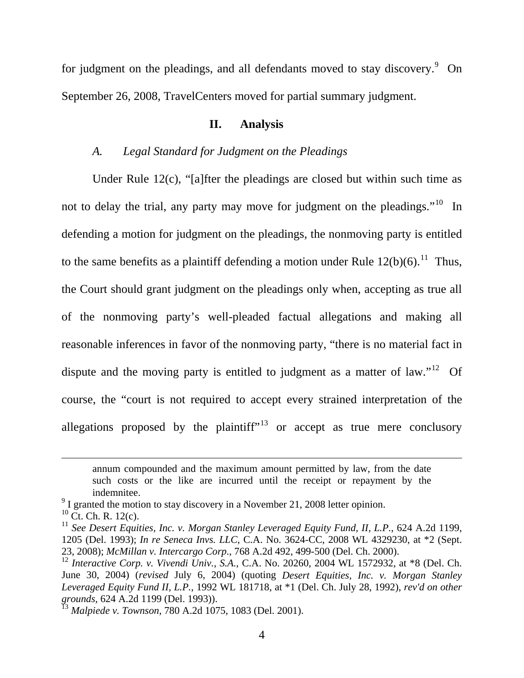for judgment on the pleadings, and all defendants moved to stay discovery.  $9$  On September 26, 2008, TravelCenters moved for partial summary judgment.

#### **II. Analysis**

### *A. Legal Standard for Judgment on the Pleadings*

Under Rule 12(c), "[a]fter the pleadings are closed but within such time as not to delay the trial, any party may move for judgment on the pleadings."<sup>[10](#page-4-1)</sup> In defending a motion for judgment on the pleadings, the nonmoving party is entitled to the same benefits as a plaintiff defending a motion under Rule  $12(b)(6)$ .<sup>[11](#page-4-2)</sup> Thus, the Court should grant judgment on the pleadings only when, accepting as true all of the nonmoving party's well-pleaded factual allegations and making all reasonable inferences in favor of the nonmoving party, "there is no material fact in dispute and the moving party is entitled to judgment as a matter of law."<sup>[12](#page-4-3)</sup> Of course, the "court is not required to accept every strained interpretation of the allegations proposed by the plaintiff<sup> $n^{13}$  $n^{13}$  $n^{13}$ </sup> or accept as true mere conclusory

annum compounded and the maximum amount permitted by law, from the date such costs or the like are incurred until the receipt or repayment by the indemnitee.

<span id="page-4-0"></span> $9^9$  I granted the motion to stay discovery in a November 21, 2008 letter opinion.  $10$  Ct. Ch. R. 12(c).

<span id="page-4-2"></span><span id="page-4-1"></span><sup>&</sup>lt;sup>11</sup> See Desert Equities, Inc. v. Morgan Stanley Leveraged Equity Fund, II, L.P., 624 A.2d 1199, 1205 (Del. 1993); *In re Seneca Invs. LLC*, C.A. No. 3624-CC, 2008 WL 4329230, at \*2 (Sept.

<span id="page-4-3"></span><sup>&</sup>lt;sup>12</sup> Interactive Corp. v. Vivendi Univ., S.A., C.A. No. 20260, 2004 WL 1572932, at \*8 (Del. Ch. June 30, 2004) (*revised* July 6, 2004) (quoting *Desert Equities, Inc. v. Morgan Stanley Leveraged Equity Fund II, L.P.*, 1992 WL 181718, at \*1 (Del. Ch. July 28, 1992), *rev'd on other grounds,* 624 A.2d 1199 (Del. 1993)).

<span id="page-4-4"></span><sup>13</sup> *Malpiede v. Townson*, 780 A.2d 1075, 1083 (Del. 2001).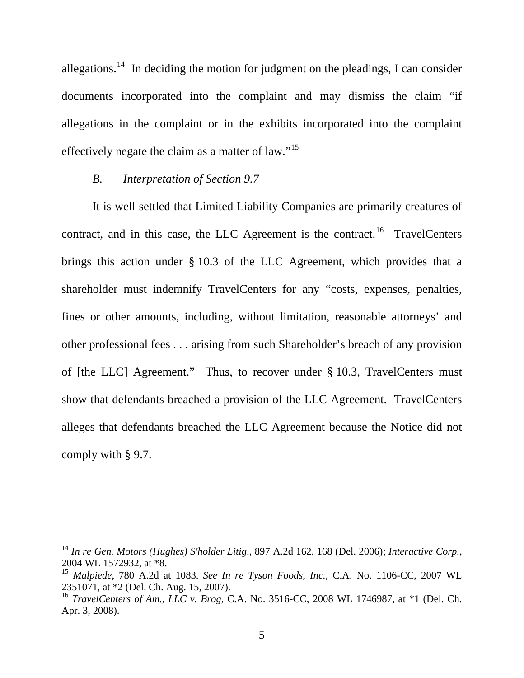allegations.<sup>[14](#page-5-0)</sup> In deciding the motion for judgment on the pleadings, I can consider documents incorporated into the complaint and may dismiss the claim "if allegations in the complaint or in the exhibits incorporated into the complaint effectively negate the claim as a matter of law."<sup>[15](#page-5-1)</sup>

#### *B. Interpretation of Section 9.7*

 $\overline{a}$ 

It is well settled that Limited Liability Companies are primarily creatures of contract, and in this case, the LLC Agreement is the contract.<sup>[16](#page-5-2)</sup> TravelCenters brings this action under § 10.3 of the LLC Agreement, which provides that a shareholder must indemnify TravelCenters for any "costs, expenses, penalties, fines or other amounts, including, without limitation, reasonable attorneys' and other professional fees . . . arising from such Shareholder's breach of any provision of [the LLC] Agreement." Thus, to recover under § 10.3, TravelCenters must show that defendants breached a provision of the LLC Agreement. TravelCenters alleges that defendants breached the LLC Agreement because the Notice did not comply with § 9.7.

<span id="page-5-0"></span><sup>14</sup> *In re Gen. Motors (Hughes) S'holder Litig*., 897 A.2d 162, 168 (Del. 2006); *Interactive Corp.*, 2004 WL 1572932, at \*8.

<span id="page-5-1"></span><sup>15</sup> *Malpiede*, 780 A.2d at 1083. *See In re Tyson Foods, Inc.*, C.A. No. 1106-CC, 2007 WL 2351071, at \*2 (Del. Ch. Aug. 15, 2007).

<span id="page-5-2"></span><sup>16</sup> *TravelCenters of Am., LLC v. Brog*, C.A. No. 3516-CC, 2008 WL 1746987, at \*1 (Del. Ch. Apr. 3, 2008).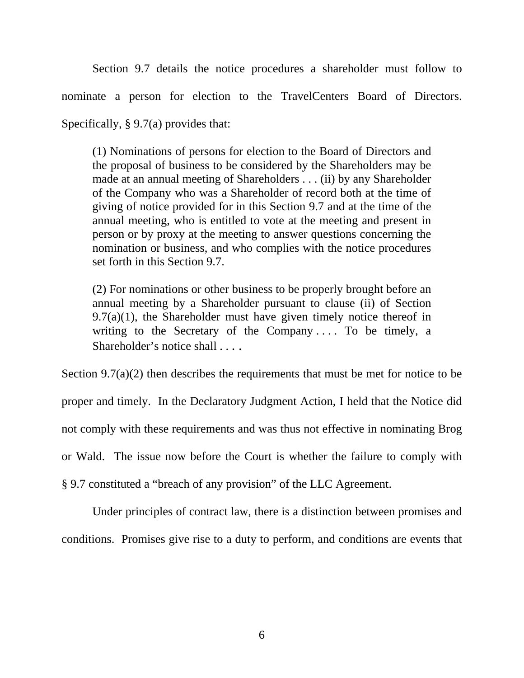Section 9.7 details the notice procedures a shareholder must follow to nominate a person for election to the TravelCenters Board of Directors. Specifically, § 9.7(a) provides that:

(1) Nominations of persons for election to the Board of Directors and the proposal of business to be considered by the Shareholders may be made at an annual meeting of Shareholders . . . (ii) by any Shareholder of the Company who was a Shareholder of record both at the time of giving of notice provided for in this Section 9.7 and at the time of the annual meeting, who is entitled to vote at the meeting and present in person or by proxy at the meeting to answer questions concerning the nomination or business, and who complies with the notice procedures set forth in this Section 9.7.

(2) For nominations or other business to be properly brought before an annual meeting by a Shareholder pursuant to clause (ii) of Section  $9.7(a)(1)$ , the Shareholder must have given timely notice thereof in writing to the Secretary of the Company .... To be timely, a Shareholder's notice shall . . . .

Section 9.7(a)(2) then describes the requirements that must be met for notice to be proper and timely. In the Declaratory Judgment Action, I held that the Notice did not comply with these requirements and was thus not effective in nominating Brog or Wald. The issue now before the Court is whether the failure to comply with § 9.7 constituted a "breach of any provision" of the LLC Agreement.

 Under principles of contract law, there is a distinction between promises and conditions. Promises give rise to a duty to perform, and conditions are events that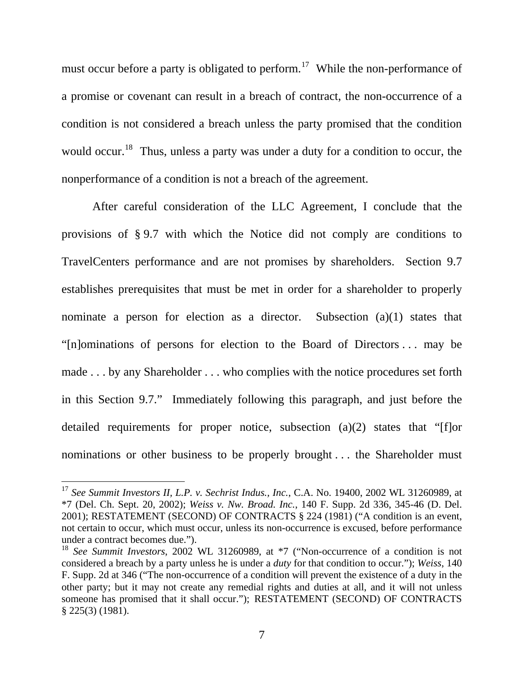must occur before a party is obligated to perform.<sup>[17](#page-7-0)</sup> While the non-performance of a promise or covenant can result in a breach of contract, the non-occurrence of a condition is not considered a breach unless the party promised that the condition would occur.<sup>[18](#page-7-1)</sup> Thus, unless a party was under a duty for a condition to occur, the nonperformance of a condition is not a breach of the agreement.

 After careful consideration of the LLC Agreement, I conclude that the provisions of § 9.7 with which the Notice did not comply are conditions to TravelCenters performance and are not promises by shareholders. Section 9.7 establishes prerequisites that must be met in order for a shareholder to properly nominate a person for election as a director. Subsection (a)(1) states that "[n]ominations of persons for election to the Board of Directors . . . may be made . . . by any Shareholder . . . who complies with the notice procedures set forth in this Section 9.7." Immediately following this paragraph, and just before the detailed requirements for proper notice, subsection (a)(2) states that "[f]or nominations or other business to be properly brought . . . the Shareholder must

<span id="page-7-0"></span><sup>17</sup> *See Summit Investors II, L.P. v. Sechrist Indus., Inc.*, C.A. No. 19400, 2002 WL 31260989, at \*7 (Del. Ch. Sept. 20, 2002); *Weiss v. Nw. Broad. Inc.*, 140 F. Supp. 2d 336, 345-46 (D. Del. 2001); RESTATEMENT (SECOND) OF CONTRACTS § 224 (1981) ("A condition is an event, not certain to occur, which must occur, unless its non-occurrence is excused, before performance under a contract becomes due.").

<span id="page-7-1"></span><sup>18</sup> *See Summit Investors*, 2002 WL 31260989, at \*7 ("Non-occurrence of a condition is not considered a breach by a party unless he is under a *duty* for that condition to occur."); *Weiss*, 140 F. Supp. 2d at 346 ("The non-occurrence of a condition will prevent the existence of a duty in the other party; but it may not create any remedial rights and duties at all, and it will not unless someone has promised that it shall occur."); RESTATEMENT (SECOND) OF CONTRACTS § 225(3) (1981).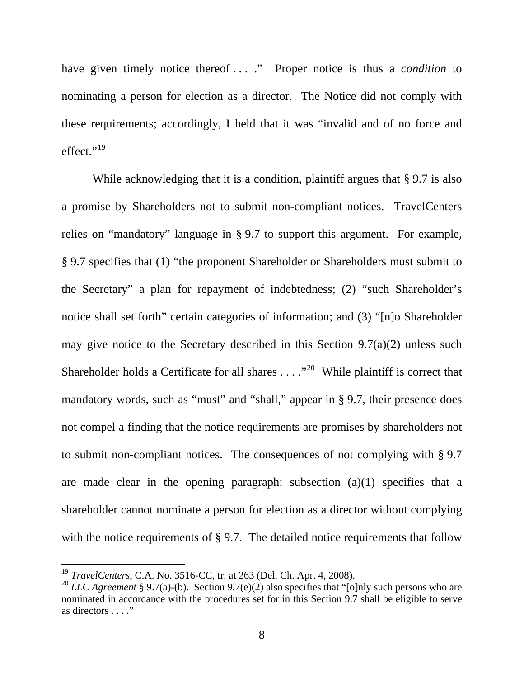have given timely notice thereof . . . ." Proper notice is thus a *condition* to nominating a person for election as a director. The Notice did not comply with these requirements; accordingly, I held that it was "invalid and of no force and effect."<sup>[19](#page-8-0)</sup>

While acknowledging that it is a condition, plaintiff argues that § 9.7 is also a promise by Shareholders not to submit non-compliant notices. TravelCenters relies on "mandatory" language in § 9.7 to support this argument. For example, § 9.7 specifies that (1) "the proponent Shareholder or Shareholders must submit to the Secretary" a plan for repayment of indebtedness; (2) "such Shareholder's notice shall set forth" certain categories of information; and (3) "[n]o Shareholder may give notice to the Secretary described in this Section  $9.7(a)(2)$  unless such Shareholder holds a Certificate for all shares  $\dots$ ."<sup>[20](#page-8-1)</sup> While plaintiff is correct that mandatory words, such as "must" and "shall," appear in § 9.7, their presence does not compel a finding that the notice requirements are promises by shareholders not to submit non-compliant notices. The consequences of not complying with § 9.7 are made clear in the opening paragraph: subsection (a)(1) specifies that a shareholder cannot nominate a person for election as a director without complying with the notice requirements of § 9.7. The detailed notice requirements that follow

<span id="page-8-0"></span><sup>19</sup> *TravelCenters*, C.A. No. 3516-CC, tr. at 263 (Del. Ch. Apr. 4, 2008).

<span id="page-8-1"></span><sup>&</sup>lt;sup>20</sup> *LLC Agreement* § 9.7(a)-(b). Section 9.7(e)(2) also specifies that "[o]nly such persons who are nominated in accordance with the procedures set for in this Section 9.7 shall be eligible to serve as directors . . . ."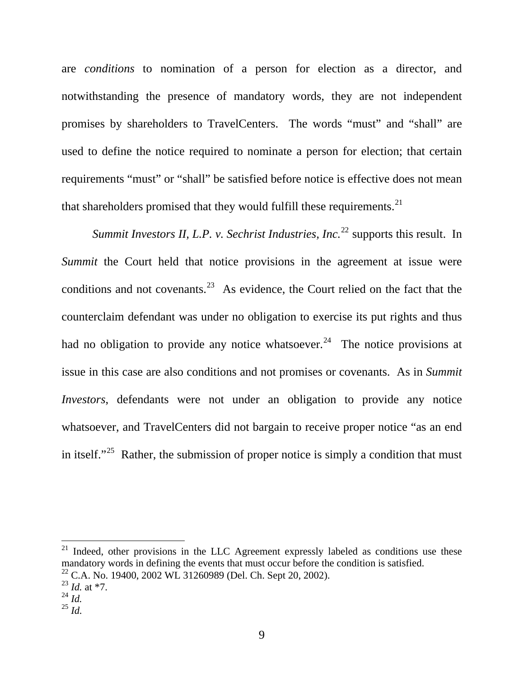are *conditions* to nomination of a person for election as a director, and notwithstanding the presence of mandatory words, they are not independent promises by shareholders to TravelCenters. The words "must" and "shall" are used to define the notice required to nominate a person for election; that certain requirements "must" or "shall" be satisfied before notice is effective does not mean that shareholders promised that they would fulfill these requirements. $^{21}$  $^{21}$  $^{21}$ 

*Summit Investors II, L.P. v. Sechrist Industries, Inc.*<sup>[22](#page-9-1)</sup> supports this result. In *Summit* the Court held that notice provisions in the agreement at issue were conditions and not covenants.<sup>[23](#page-9-2)</sup> As evidence, the Court relied on the fact that the counterclaim defendant was under no obligation to exercise its put rights and thus had no obligation to provide any notice whatsoever.<sup>[24](#page-9-3)</sup> The notice provisions at issue in this case are also conditions and not promises or covenants. As in *Summit Investors*, defendants were not under an obligation to provide any notice whatsoever, and TravelCenters did not bargain to receive proper notice "as an end in itself."<sup>[25](#page-9-4)</sup> Rather, the submission of proper notice is simply a condition that must

<span id="page-9-0"></span> $21$  Indeed, other provisions in the LLC Agreement expressly labeled as conditions use these mandatory words in defining the events that must occur before the condition is satisfied. 22 C.A. No. 19400, 2002 WL 31260989 (Del. Ch. Sept 20, 2002).

<span id="page-9-2"></span><span id="page-9-1"></span><sup>23</sup> *Id.* at \*7.

<span id="page-9-3"></span> $^{24}$  *Id.* 

<span id="page-9-4"></span><sup>25</sup> *Id.*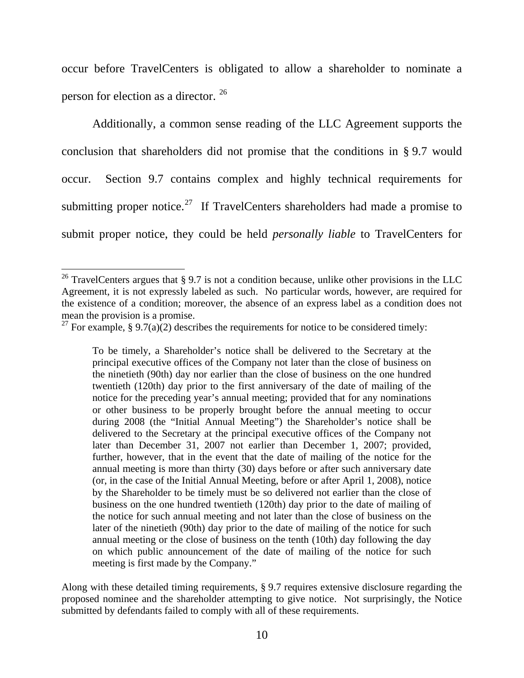occur before TravelCenters is obligated to allow a shareholder to nominate a person for election as a director. [26](#page-10-0)

 Additionally, a common sense reading of the LLC Agreement supports the conclusion that shareholders did not promise that the conditions in § 9.7 would occur. Section 9.7 contains complex and highly technical requirements for submitting proper notice.<sup>[27](#page-10-1)</sup> If TravelCenters shareholders had made a promise to submit proper notice, they could be held *personally liable* to TravelCenters for

 $\overline{a}$ 

To be timely, a Shareholder's notice shall be delivered to the Secretary at the principal executive offices of the Company not later than the close of business on the ninetieth (90th) day nor earlier than the close of business on the one hundred twentieth (120th) day prior to the first anniversary of the date of mailing of the notice for the preceding year's annual meeting; provided that for any nominations or other business to be properly brought before the annual meeting to occur during 2008 (the "Initial Annual Meeting") the Shareholder's notice shall be delivered to the Secretary at the principal executive offices of the Company not later than December 31, 2007 not earlier than December 1, 2007; provided, further, however, that in the event that the date of mailing of the notice for the annual meeting is more than thirty (30) days before or after such anniversary date (or, in the case of the Initial Annual Meeting, before or after April 1, 2008), notice by the Shareholder to be timely must be so delivered not earlier than the close of business on the one hundred twentieth (120th) day prior to the date of mailing of the notice for such annual meeting and not later than the close of business on the later of the ninetieth (90th) day prior to the date of mailing of the notice for such annual meeting or the close of business on the tenth (10th) day following the day on which public announcement of the date of mailing of the notice for such meeting is first made by the Company."

Along with these detailed timing requirements, § 9.7 requires extensive disclosure regarding the proposed nominee and the shareholder attempting to give notice. Not surprisingly, the Notice submitted by defendants failed to comply with all of these requirements.

<span id="page-10-0"></span><sup>&</sup>lt;sup>26</sup> TravelCenters argues that § 9.7 is not a condition because, unlike other provisions in the LLC Agreement, it is not expressly labeled as such. No particular words, however, are required for the existence of a condition; moreover, the absence of an express label as a condition does not mean the provision is a promise.

<span id="page-10-1"></span><sup>&</sup>lt;sup>27</sup> For example, § 9.7(a)(2) describes the requirements for notice to be considered timely: